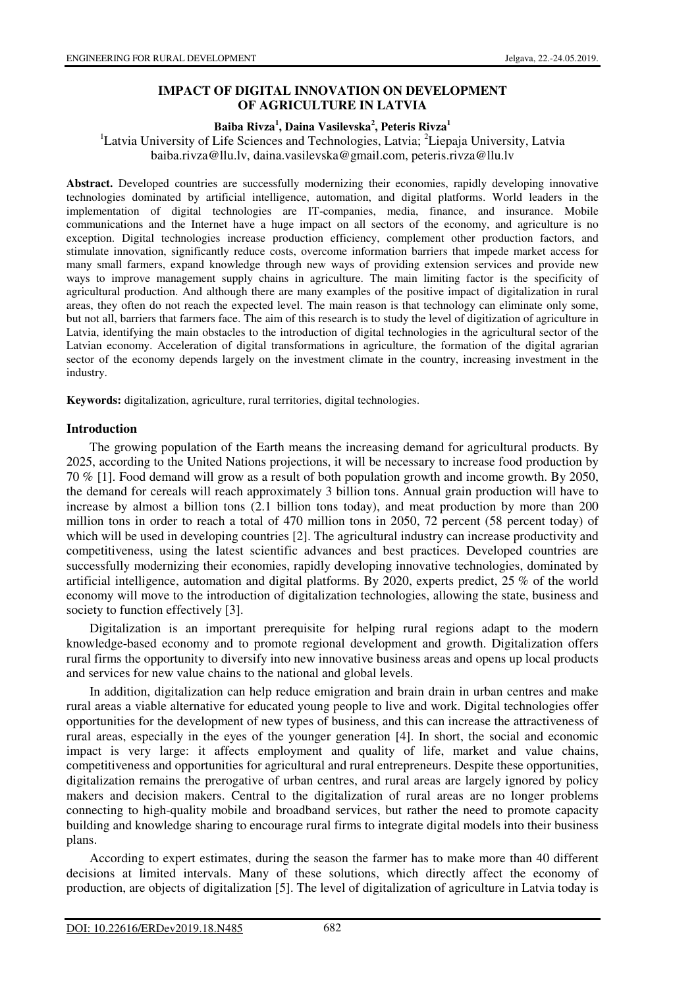# **IMPACT OF DIGITAL INNOVATION ON DEVELOPMENT OF AGRICULTURE IN LATVIA**

### **Baiba Rivza<sup>1</sup> , Daina Vasilevska<sup>2</sup> , Peteris Rivza<sup>1</sup>**

<sup>1</sup>Latvia University of Life Sciences and Technologies, Latvia;  ${}^{2}$ Liepaja University, Latvia baiba.rivza@llu.lv, daina.vasilevska@gmail.com, peteris.rivza@llu.lv

**Abstract.** Developed countries are successfully modernizing their economies, rapidly developing innovative technologies dominated by artificial intelligence, automation, and digital platforms. World leaders in the implementation of digital technologies are IT-companies, media, finance, and insurance. Mobile communications and the Internet have a huge impact on all sectors of the economy, and agriculture is no exception. Digital technologies increase production efficiency, complement other production factors, and stimulate innovation, significantly reduce costs, overcome information barriers that impede market access for many small farmers, expand knowledge through new ways of providing extension services and provide new ways to improve management supply chains in agriculture. The main limiting factor is the specificity of agricultural production. And although there are many examples of the positive impact of digitalization in rural areas, they often do not reach the expected level. The main reason is that technology can eliminate only some, but not all, barriers that farmers face. The aim of this research is to study the level of digitization of agriculture in Latvia, identifying the main obstacles to the introduction of digital technologies in the agricultural sector of the Latvian economy. Acceleration of digital transformations in agriculture, the formation of the digital agrarian sector of the economy depends largely on the investment climate in the country, increasing investment in the industry.

**Keywords:** digitalization, agriculture, rural territories, digital technologies.

### **Introduction**

The growing population of the Earth means the increasing demand for agricultural products. By 2025, according to the United Nations projections, it will be necessary to increase food production by 70 % [1]. Food demand will grow as a result of both population growth and income growth. By 2050, the demand for cereals will reach approximately 3 billion tons. Annual grain production will have to increase by almost a billion tons (2.1 billion tons today), and meat production by more than 200 million tons in order to reach a total of 470 million tons in 2050, 72 percent (58 percent today) of which will be used in developing countries [2]. The agricultural industry can increase productivity and competitiveness, using the latest scientific advances and best practices. Developed countries are successfully modernizing their economies, rapidly developing innovative technologies, dominated by artificial intelligence, automation and digital platforms. By 2020, experts predict, 25 % of the world economy will move to the introduction of digitalization technologies, allowing the state, business and society to function effectively [3].

Digitalization is an important prerequisite for helping rural regions adapt to the modern knowledge-based economy and to promote regional development and growth. Digitalization offers rural firms the opportunity to diversify into new innovative business areas and opens up local products and services for new value chains to the national and global levels.

In addition, digitalization can help reduce emigration and brain drain in urban centres and make rural areas a viable alternative for educated young people to live and work. Digital technologies offer opportunities for the development of new types of business, and this can increase the attractiveness of rural areas, especially in the eyes of the younger generation [4]. In short, the social and economic impact is very large: it affects employment and quality of life, market and value chains, competitiveness and opportunities for agricultural and rural entrepreneurs. Despite these opportunities, digitalization remains the prerogative of urban centres, and rural areas are largely ignored by policy makers and decision makers. Central to the digitalization of rural areas are no longer problems connecting to high-quality mobile and broadband services, but rather the need to promote capacity building and knowledge sharing to encourage rural firms to integrate digital models into their business plans.

According to expert estimates, during the season the farmer has to make more than 40 different decisions at limited intervals. Many of these solutions, which directly affect the economy of production, are objects of digitalization [5]. The level of digitalization of agriculture in Latvia today is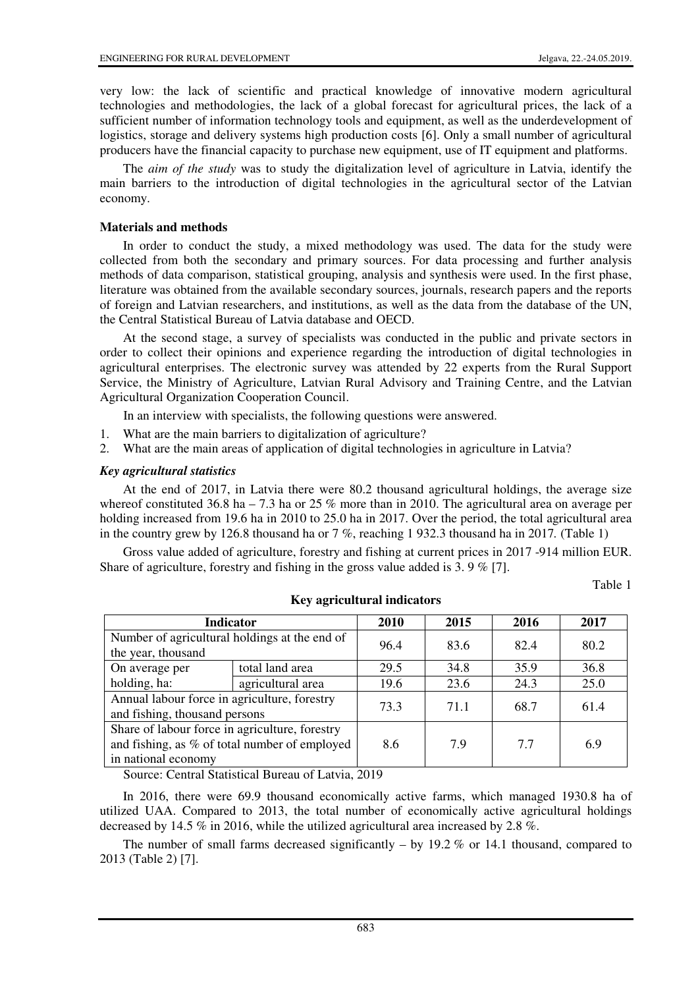very low: the lack of scientific and practical knowledge of innovative modern agricultural technologies and methodologies, the lack of a global forecast for agricultural prices, the lack of a sufficient number of information technology tools and equipment, as well as the underdevelopment of logistics, storage and delivery systems high production costs [6]. Only a small number of agricultural producers have the financial capacity to purchase new equipment, use of IT equipment and platforms.

The *aim of the study* was to study the digitalization level of agriculture in Latvia, identify the main barriers to the introduction of digital technologies in the agricultural sector of the Latvian economy.

### **Materials and methods**

In order to conduct the study, a mixed methodology was used. The data for the study were collected from both the secondary and primary sources. For data processing and further analysis methods of data comparison, statistical grouping, analysis and synthesis were used. In the first phase, literature was obtained from the available secondary sources, journals, research papers and the reports of foreign and Latvian researchers, and institutions, as well as the data from the database of the UN, the Central Statistical Bureau of Latvia database and OECD.

At the second stage, a survey of specialists was conducted in the public and private sectors in order to collect their opinions and experience regarding the introduction of digital technologies in agricultural enterprises. The electronic survey was attended by 22 experts from the Rural Support Service, the Ministry of Agriculture, Latvian Rural Advisory and Training Centre, and the Latvian Agricultural Organization Cooperation Council.

In an interview with specialists, the following questions were answered.

- 1. What are the main barriers to digitalization of agriculture?
- 2. What are the main areas of application of digital technologies in agriculture in Latvia?

### *Key agricultural statistics*

At the end of 2017, in Latvia there were 80.2 thousand agricultural holdings, the average size whereof constituted 36.8 ha – 7.3 ha or 25 % more than in 2010. The agricultural area on average per holding increased from 19.6 ha in 2010 to 25.0 ha in 2017. Over the period, the total agricultural area in the country grew by 126.8 thousand ha or 7 %, reaching 1 932.3 thousand ha in 2017*.* (Table 1)

Gross value added of agriculture, forestry and fishing at current prices in 2017 -914 million EUR. Share of agriculture, forestry and fishing in the gross value added is 3. 9 % [7].

Table 1

| <b>Indicator</b>                                                                                                       |                   | 2010 | 2015 | 2016 | 2017 |
|------------------------------------------------------------------------------------------------------------------------|-------------------|------|------|------|------|
| Number of agricultural holdings at the end of<br>the year, thousand                                                    |                   | 96.4 | 83.6 | 82.4 | 80.2 |
| On average per                                                                                                         | total land area   | 29.5 | 34.8 | 35.9 | 36.8 |
| holding, ha:                                                                                                           | agricultural area | 19.6 | 23.6 | 24.3 | 25.0 |
| Annual labour force in agriculture, forestry<br>and fishing, thousand persons                                          |                   | 73.3 | 71.1 | 68.7 | 61.4 |
| Share of labour force in agriculture, forestry<br>and fishing, as % of total number of employed<br>in national economy |                   | 8.6  | 7.9  | 7.7  | 6.9  |

**Key agricultural indicators** 

Source: Central Statistical Bureau of Latvia, 2019

In 2016, there were 69.9 thousand economically active farms, which managed 1930.8 ha of utilized UAA. Compared to 2013, the total number of economically active agricultural holdings decreased by 14.5 % in 2016, while the utilized agricultural area increased by 2.8 %.

The number of small farms decreased significantly  $-$  by 19.2 % or 14.1 thousand, compared to 2013 (Table 2) [7].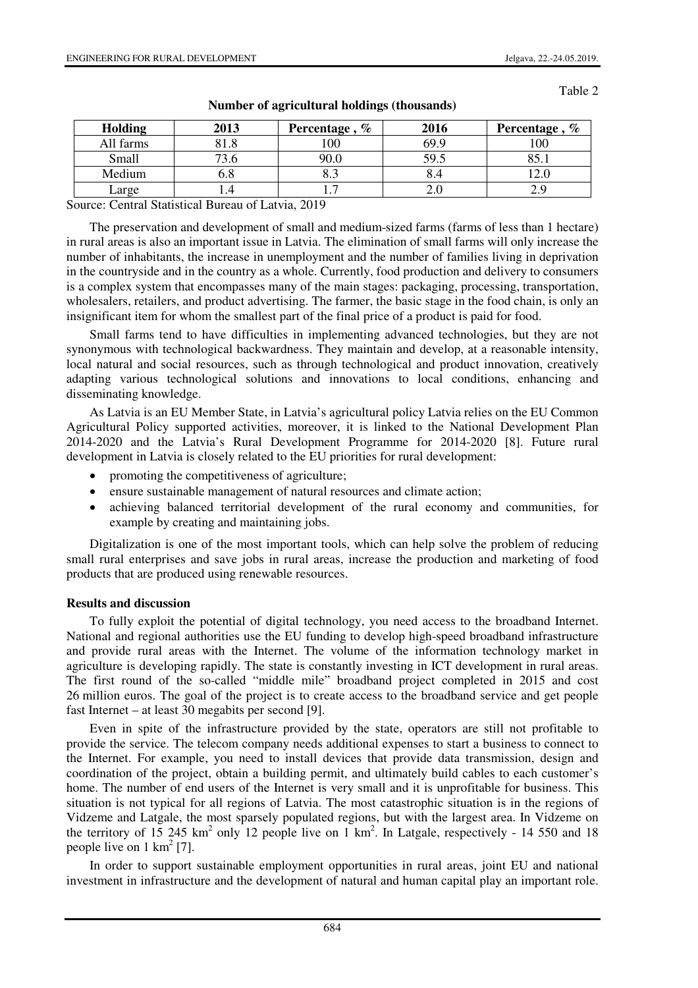Table 2

| Holding   | 2013 | Percentage, $%$ | 2016 | Percentage, $%$ |
|-----------|------|-----------------|------|-----------------|
| All farms | 81.8 | 100             | 69.9 | $100\,$         |
| Small     |      | 90.0            | 59.5 | ດ ຂ             |
| Medium    | 0.8  | o. .            | 8.4  |                 |
| Large     |      |                 | Z.U  | د.ء             |

**Number of agricultural holdings (thousands)** 

Source: Central Statistical Bureau of Latvia, 2019

The preservation and development of small and medium-sized farms (farms of less than 1 hectare) in rural areas is also an important issue in Latvia. The elimination of small farms will only increase the number of inhabitants, the increase in unemployment and the number of families living in deprivation in the countryside and in the country as a whole. Currently, food production and delivery to consumers is a complex system that encompasses many of the main stages: packaging, processing, transportation, wholesalers, retailers, and product advertising. The farmer, the basic stage in the food chain, is only an insignificant item for whom the smallest part of the final price of a product is paid for food.

Small farms tend to have difficulties in implementing advanced technologies, but they are not synonymous with technological backwardness. They maintain and develop, at a reasonable intensity, local natural and social resources, such as through technological and product innovation, creatively adapting various technological solutions and innovations to local conditions, enhancing and disseminating knowledge.

As Latvia is an EU Member State, in Latvia's agricultural policy Latvia relies on the EU Common Agricultural Policy supported activities, moreover, it is linked to the National Development Plan 2014-2020 and the Latvia's Rural Development Programme for 2014-2020 [8]. Future rural development in Latvia is closely related to the EU priorities for rural development:

- promoting the competitiveness of agriculture;
- ensure sustainable management of natural resources and climate action;
- achieving balanced territorial development of the rural economy and communities, for example by creating and maintaining jobs.

Digitalization is one of the most important tools, which can help solve the problem of reducing small rural enterprises and save jobs in rural areas, increase the production and marketing of food products that are produced using renewable resources.

#### **Results and discussion**

To fully exploit the potential of digital technology, you need access to the broadband Internet. National and regional authorities use the EU funding to develop high-speed broadband infrastructure and provide rural areas with the Internet. The volume of the information technology market in agriculture is developing rapidly. The state is constantly investing in ICT development in rural areas. The first round of the so-called "middle mile" broadband project completed in 2015 and cost 26 million euros. The goal of the project is to create access to the broadband service and get people fast Internet – at least 30 megabits per second [9].

Even in spite of the infrastructure provided by the state, operators are still not profitable to provide the service. The telecom company needs additional expenses to start a business to connect to the Internet. For example, you need to install devices that provide data transmission, design and coordination of the project, obtain a building permit, and ultimately build cables to each customer's home. The number of end users of the Internet is very small and it is unprofitable for business. This situation is not typical for all regions of Latvia. The most catastrophic situation is in the regions of Vidzeme and Latgale, the most sparsely populated regions, but with the largest area. In Vidzeme on the territory of 15 245 km<sup>2</sup> only 12 people live on 1 km<sup>2</sup>. In Latgale, respectively - 14 550 and 18 people live on  $1 \text{ km}^2$  [7].

In order to support sustainable employment opportunities in rural areas, joint EU and national investment in infrastructure and the development of natural and human capital play an important role.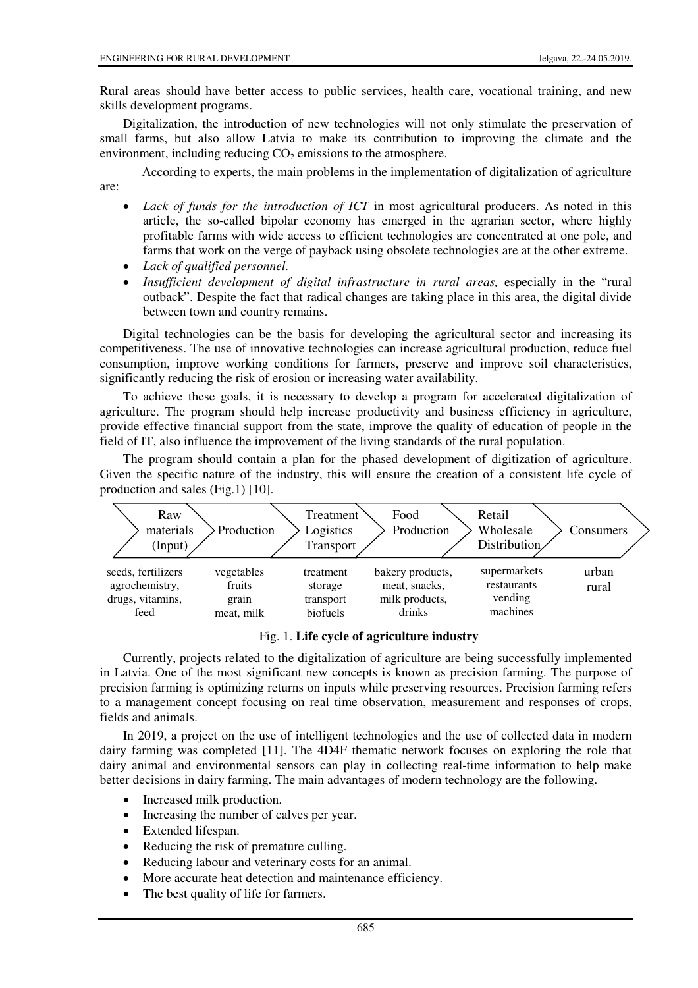Rural areas should have better access to public services, health care, vocational training, and new skills development programs.

Digitalization, the introduction of new technologies will not only stimulate the preservation of small farms, but also allow Latvia to make its contribution to improving the climate and the environment, including reducing  $CO<sub>2</sub>$  emissions to the atmosphere.

According to experts, the main problems in the implementation of digitalization of agriculture are:

- *Lack of funds for the introduction of ICT* in most agricultural producers. As noted in this article, the so-called bipolar economy has emerged in the agrarian sector, where highly profitable farms with wide access to efficient technologies are concentrated at one pole, and farms that work on the verge of payback using obsolete technologies are at the other extreme.
- *Lack of qualified personnel.*
- *Insufficient development of digital infrastructure in rural areas, especially in the "rural* outback". Despite the fact that radical changes are taking place in this area, the digital divide between town and country remains.

Digital technologies can be the basis for developing the agricultural sector and increasing its competitiveness. The use of innovative technologies can increase agricultural production, reduce fuel consumption, improve working conditions for farmers, preserve and improve soil characteristics, significantly reducing the risk of erosion or increasing water availability.

To achieve these goals, it is necessary to develop a program for accelerated digitalization of agriculture. The program should help increase productivity and business efficiency in agriculture, provide effective financial support from the state, improve the quality of education of people in the field of IT, also influence the improvement of the living standards of the rural population.

The program should contain a plan for the phased development of digitization of agriculture. Given the specific nature of the industry, this will ensure the creation of a consistent life cycle of production and sales (Fig.1) [10].



Fig. 1. **Life cycle of agriculture industry**

Currently, projects related to the digitalization of agriculture are being successfully implemented in Latvia. One of the most significant new concepts is known as precision farming. The purpose of precision farming is optimizing returns on inputs while preserving resources. Precision farming refers to a management concept focusing on real time observation, measurement and responses of crops, fields and animals.

In 2019, a project on the use of intelligent technologies and the use of collected data in modern dairy farming was completed [11]. The 4D4F thematic network focuses on exploring the role that dairy animal and environmental sensors can play in collecting real-time information to help make better decisions in dairy farming. The main advantages of modern technology are the following.

- Increased milk production.
- Increasing the number of calves per year.
- Extended lifespan.
- Reducing the risk of premature culling.
- Reducing labour and veterinary costs for an animal.
- More accurate heat detection and maintenance efficiency.
- The best quality of life for farmers.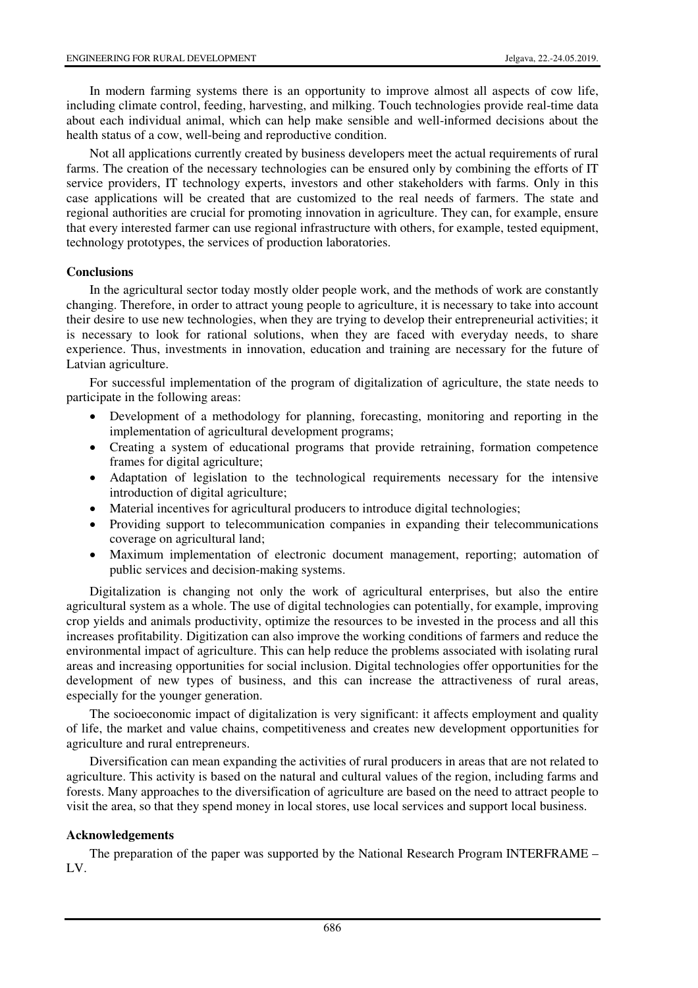In modern farming systems there is an opportunity to improve almost all aspects of cow life, including climate control, feeding, harvesting, and milking. Touch technologies provide real-time data about each individual animal, which can help make sensible and well-informed decisions about the health status of a cow, well-being and reproductive condition.

Not all applications currently created by business developers meet the actual requirements of rural farms. The creation of the necessary technologies can be ensured only by combining the efforts of IT service providers, IT technology experts, investors and other stakeholders with farms. Only in this case applications will be created that are customized to the real needs of farmers. The state and regional authorities are crucial for promoting innovation in agriculture. They can, for example, ensure that every interested farmer can use regional infrastructure with others, for example, tested equipment, technology prototypes, the services of production laboratories.

### **Conclusions**

In the agricultural sector today mostly older people work, and the methods of work are constantly changing. Therefore, in order to attract young people to agriculture, it is necessary to take into account their desire to use new technologies, when they are trying to develop their entrepreneurial activities; it is necessary to look for rational solutions, when they are faced with everyday needs, to share experience. Thus, investments in innovation, education and training are necessary for the future of Latvian agriculture.

For successful implementation of the program of digitalization of agriculture, the state needs to participate in the following areas:

- Development of a methodology for planning, forecasting, monitoring and reporting in the implementation of agricultural development programs;
- Creating a system of educational programs that provide retraining, formation competence frames for digital agriculture;
- Adaptation of legislation to the technological requirements necessary for the intensive introduction of digital agriculture;
- Material incentives for agricultural producers to introduce digital technologies;
- Providing support to telecommunication companies in expanding their telecommunications coverage on agricultural land;
- Maximum implementation of electronic document management, reporting; automation of public services and decision-making systems.

Digitalization is changing not only the work of agricultural enterprises, but also the entire agricultural system as a whole. The use of digital technologies can potentially, for example, improving crop yields and animals productivity, optimize the resources to be invested in the process and all this increases profitability. Digitization can also improve the working conditions of farmers and reduce the environmental impact of agriculture. This can help reduce the problems associated with isolating rural areas and increasing opportunities for social inclusion. Digital technologies offer opportunities for the development of new types of business, and this can increase the attractiveness of rural areas, especially for the younger generation.

The socioeconomic impact of digitalization is very significant: it affects employment and quality of life, the market and value chains, competitiveness and creates new development opportunities for agriculture and rural entrepreneurs.

Diversification can mean expanding the activities of rural producers in areas that are not related to agriculture. This activity is based on the natural and cultural values of the region, including farms and forests. Many approaches to the diversification of agriculture are based on the need to attract people to visit the area, so that they spend money in local stores, use local services and support local business.

### **Acknowledgements**

The preparation of the paper was supported by the National Research Program INTERFRAME – LV.